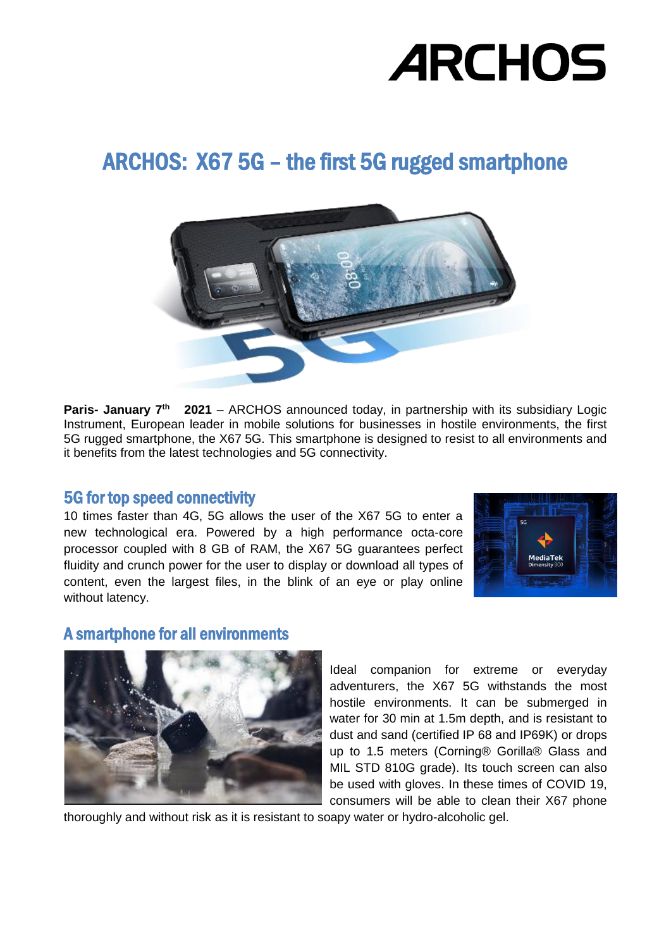# ARCHOS: X67 5G – the first 5G rugged smartphone



**Paris- January 7<sup>th</sup> 2021** – ARCHOS announced today, in partnership with its subsidiary Logic Instrument, European leader in mobile solutions for businesses in hostile environments, the first 5G rugged smartphone, the X67 5G. This smartphone is designed to resist to all environments and it benefits from the latest technologies and 5G connectivity.

#### 5G for top speed connectivity

10 times faster than 4G, 5G allows the user of the X67 5G to enter a new technological era. Powered by a high performance octa-core processor coupled with 8 GB of RAM, the X67 5G guarantees perfect fluidity and crunch power for the user to display or download all types of content, even the largest files, in the blink of an eye or play online without latency.



#### A smartphone for all environments



Ideal companion for extreme or everyday adventurers, the X67 5G withstands the most hostile environments. It can be submerged in water for 30 min at 1.5m depth, and is resistant to dust and sand (certified IP 68 and IP69K) or drops up to 1.5 meters (Corning® Gorilla® Glass and MIL STD 810G grade). Its touch screen can also be used with gloves. In these times of COVID 19, consumers will be able to clean their X67 phone

thoroughly and without risk as it is resistant to soapy water or hydro-alcoholic gel.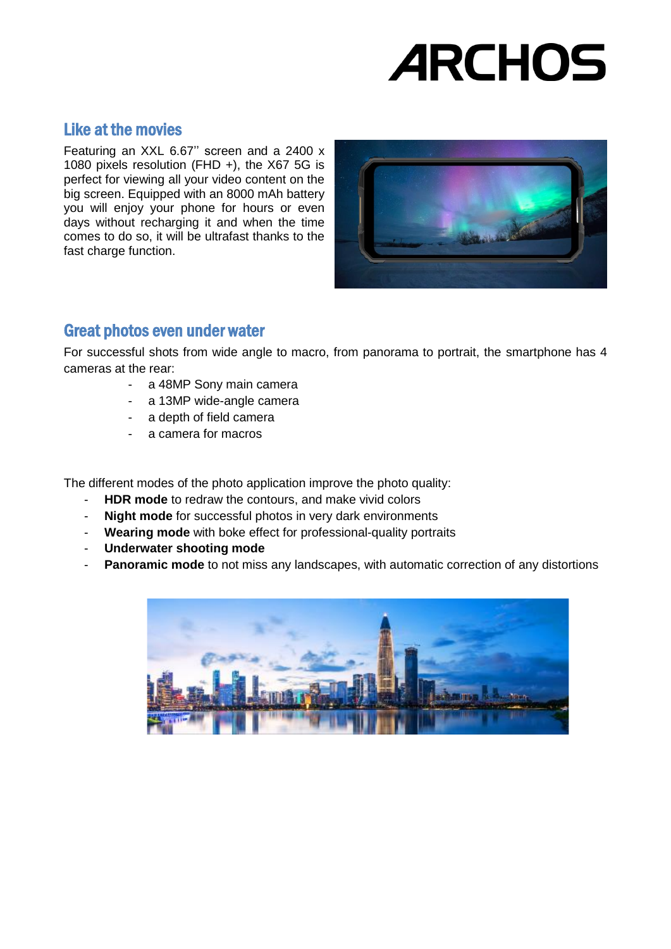# Like at the movies

Featuring an XXL 6.67'' screen and a 2400 x 1080 pixels resolution (FHD +), the X67 5G is perfect for viewing all your video content on the big screen. Equipped with an 8000 mAh battery you will enjoy your phone for hours or even days without recharging it and when the time comes to do so, it will be ultrafast thanks to the fast charge function.



## Great photos even under water

For successful shots from wide angle to macro, from panorama to portrait, the smartphone has 4 cameras at the rear:

- a 48MP Sony main camera
- a 13MP wide-angle camera
- a depth of field camera
- a camera for macros

The different modes of the photo application improve the photo quality:

- **HDR mode** to redraw the contours, and make vivid colors
- **Night mode** for successful photos in very dark environments
- **Wearing mode** with boke effect for professional-quality portraits
- **Underwater shooting mode**
- **Panoramic mode** to not miss any landscapes, with automatic correction of any distortions

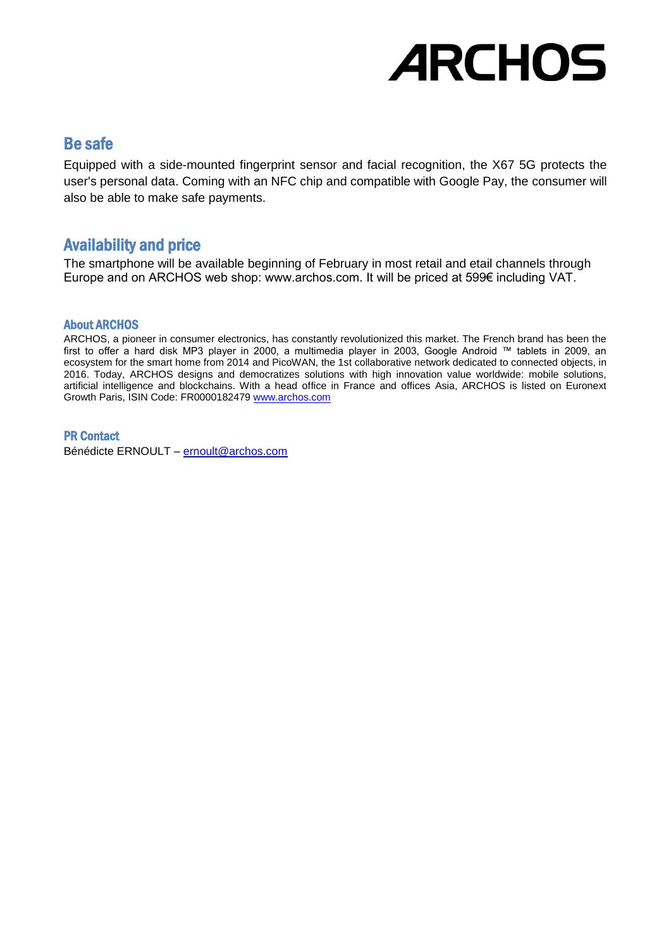### Be safe

Equipped with a side-mounted fingerprint sensor and facial recognition, the X67 5G protects the user's personal data. Coming with an NFC chip and compatible with Google Pay, the consumer will also be able to make safe payments.

## Availability and price

The smartphone will be available beginning of February in most retail and etail channels through Europe and on ARCHOS web shop: www.archos.com. It will be priced at 599€ including VAT.

#### About ARCHOS

ARCHOS, a pioneer in consumer electronics, has constantly revolutionized this market. The French brand has been the first to offer a hard disk MP3 player in 2000, a multimedia player in 2003, Google Android ™ tablets in 2009, an ecosystem for the smart home from 2014 and PicoWAN, the 1st collaborative network dedicated to connected objects, in 2016. Today, ARCHOS designs and democratizes solutions with high innovation value worldwide: mobile solutions, artificial intelligence and blockchains. With a head office in France and offices Asia, ARCHOS is listed on Euronext Growth Paris, ISIN Code: FR0000182479 [www.archos.com](http://www.archos.com/)

#### PR Contact

Bénédicte ERNOULT – [ernoult@archos.com](mailto:ernoult@archos.com)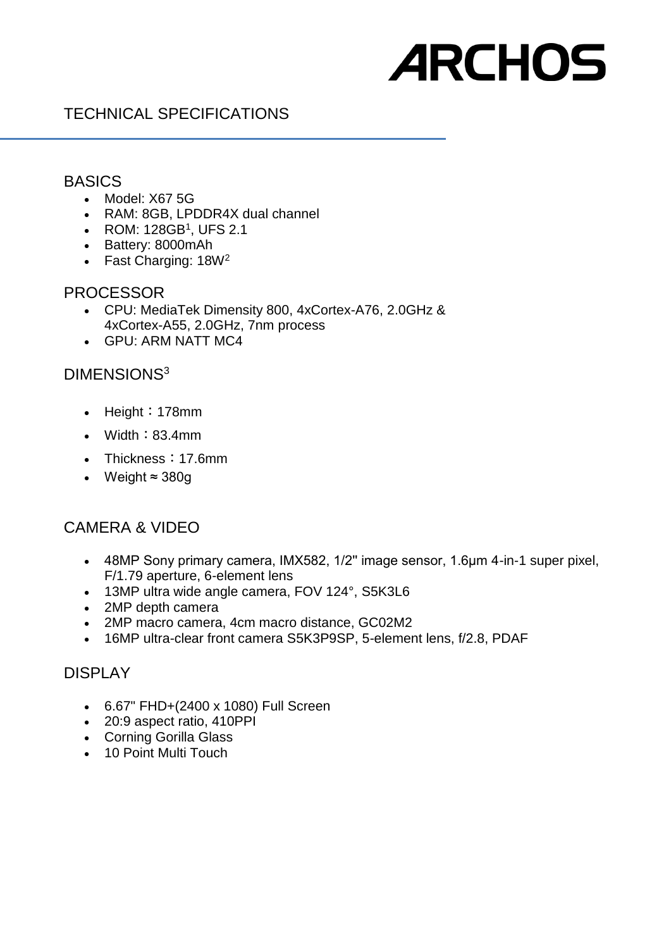# TECHNICAL SPECIFICATIONS

#### **BASICS**

- Model: X67 5G
- RAM: 8GB, LPDDR4X dual channel
- ROM:  $128GB<sup>1</sup>$ , UFS 2.1
- Battery: 8000mAh
- Fast Charging: 18W<sup>2</sup>

#### PROCESSOR

- CPU: MediaTek Dimensity 800, 4xCortex-A76, 2.0GHz & 4xCortex-A55, 2.0GHz, 7nm process
- GPU: ARM NATT MC4

### DIMENSIONS<sup>3</sup>

- Height: 178mm
- $\bullet$  Width: 83.4mm
- Thickness: 17.6mm
- Weight ≈ 380g

#### CAMERA & VIDEO

- 48MP Sony primary camera, IMX582, 1/2'' image sensor, 1.6μm 4-in-1 super pixel, F/1.79 aperture, 6-element lens
- 13MP ultra wide angle camera, FOV 124°, S5K3L6
- 2MP depth camera
- 2MP macro camera, 4cm macro distance, GC02M2
- 16MP ultra-clear front camera S5K3P9SP, 5-element lens, f/2.8, PDAF

#### DISPLAY

- 6.67" FHD+(2400 x 1080) Full Screen
- 20:9 aspect ratio, 410PPI
- Corning Gorilla Glass
- 10 Point Multi Touch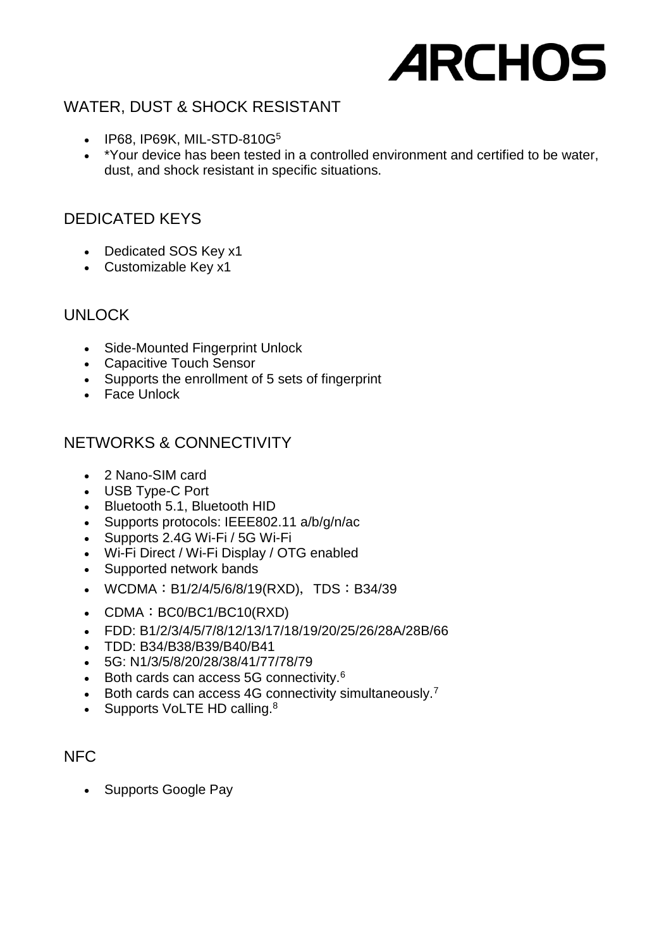# WATER, DUST & SHOCK RESISTANT

- $\bullet$  IP68, IP69K, MIL-STD-810G<sup>5</sup>
- \*Your device has been tested in a controlled environment and certified to be water, dust, and shock resistant in specific situations.

# DEDICATED KEYS

- Dedicated SOS Key x1
- Customizable Key x1

#### UNLOCK

- Side-Mounted Fingerprint Unlock
- Capacitive Touch Sensor
- Supports the enrollment of 5 sets of fingerprint
- Face Unlock

# NETWORKS & CONNECTIVITY

- 2 Nano-SIM card
- USB Type-C Port
- Bluetooth 5.1, Bluetooth HID
- Supports protocols: IEEE802.11 a/b/g/n/ac
- Supports 2.4G Wi-Fi / 5G Wi-Fi
- Wi-Fi Direct / Wi-Fi Display / OTG enabled
- Supported network bands
- WCDMA: B1/2/4/5/6/8/19(RXD), TDS: B34/39
- CDMA: BC0/BC1/BC10(RXD)
- FDD: B1/2/3/4/5/7/8/12/13/17/18/19/20/25/26/28A/28B/66
- TDD: B34/B38/B39/B40/B41
- 5G: N1/3/5/8/20/28/38/41/77/78/79
- $\bullet$  Both cards can access 5G connectivity.<sup>6</sup>
- Both cards can access 4G connectivity simultaneously.<sup>7</sup>
- Supports VoLTE HD calling. $8$

## NFC

• Supports Google Pay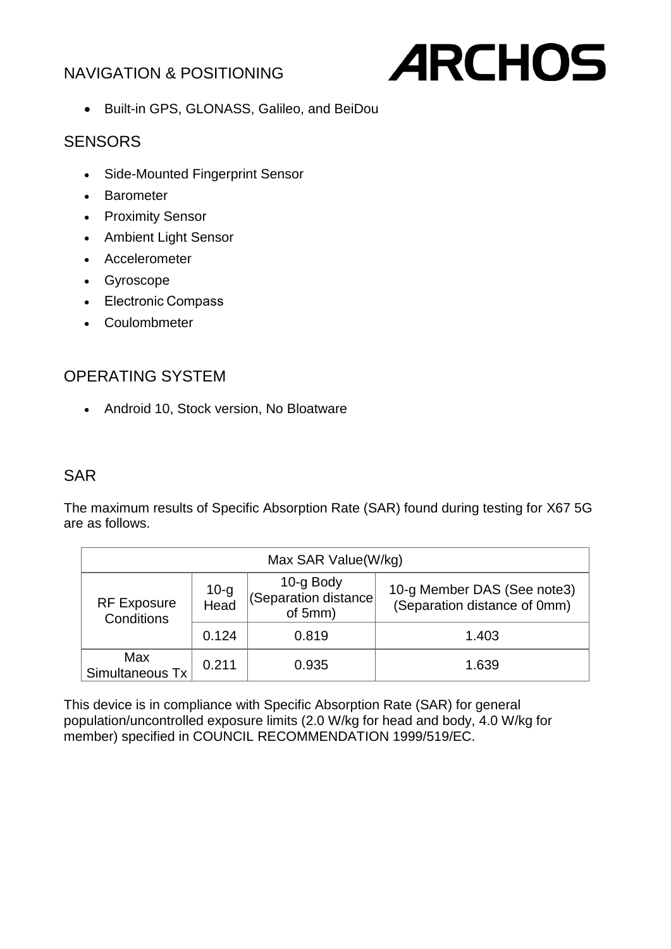# NAVIGATION & POSITIONING



Built-in GPS, GLONASS, Galileo, and BeiDou

### **SENSORS**

- Side-Mounted Fingerprint Sensor
- Barometer
- Proximity Sensor
- Ambient Light Sensor
- Accelerometer
- Gyroscope
- Electronic Compass
- Coulombmeter

# OPERATING SYSTEM

Android 10, Stock version, No Bloatware

## SAR

The maximum results of Specific Absorption Rate (SAR) found during testing for X67 5G are as follows.

| Max SAR Value(W/kg)              |              |                                              |                                                             |
|----------------------------------|--------------|----------------------------------------------|-------------------------------------------------------------|
| <b>RF Exposure</b><br>Conditions | 10-g<br>Head | 10-g Body<br>(Separation distance<br>of 5mm) | 10-g Member DAS (See note3)<br>(Separation distance of 0mm) |
|                                  | 0.124        | 0.819                                        | 1.403                                                       |
| Max<br>Simultaneous Tx           | 0.211        | 0.935                                        | 1.639                                                       |

This device is in compliance with Specific Absorption Rate (SAR) for general population/uncontrolled exposure limits (2.0 W/kg for head and body, 4.0 W/kg for member) specified in COUNCIL RECOMMENDATION 1999/519/EC.